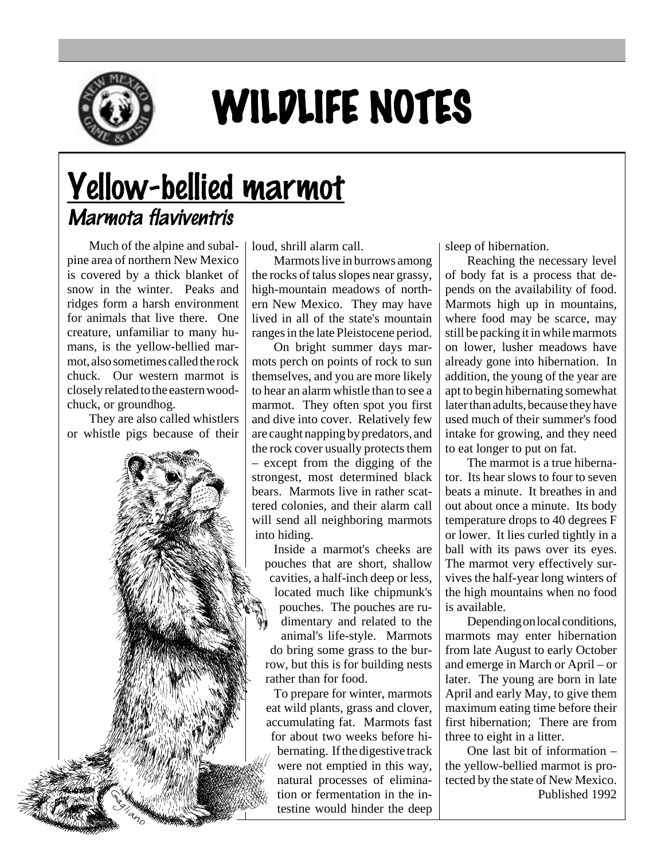

## WILDLIFE NOTES

## Yellow-bellied marmot Marmota flaviventris

Much of the alpine and subalpine area of northern New Mexico is covered by a thick blanket of snow in the winter. Peaks and ridges form a harsh environment for animals that live there. One creature, unfamiliar to many humans, is the yellow-bellied marmot, also sometimes called the rock chuck. Our western marmot is closely related to the eastern woodchuck, or groundhog.

They are also called whistlers or whistle pigs because of their

loud, shrill alarm call.

Marmots live in burrows among the rocks of talus slopes near grassy, high-mountain meadows of northern New Mexico. They may have lived in all of the state's mountain ranges in the late Pleistocene period.

On bright summer days marmots perch on points of rock to sun themselves, and you are more likely to hear an alarm whistle than to see a marmot. They often spot you first and dive into cover. Relatively few are caught napping by predators, and the rock cover usually protects them – except from the digging of the strongest, most determined black bears. Marmots live in rather scattered colonies, and their alarm call will send all neighboring marmots into hiding.

Inside a marmot's cheeks are pouches that are short, shallow cavities, a half-inch deep or less, located much like chipmunk's pouches. The pouches are rudimentary and related to the animal's life-style. Marmots do bring some grass to the burrow, but this is for building nests rather than for food.

To prepare for winter, marmots eat wild plants, grass and clover, accumulating fat. Marmots fast for about two weeks before hibernating. If the digestive track were not emptied in this way, natural processes of elimination or fermentation in the intestine would hinder the deep sleep of hibernation.

Reaching the necessary level of body fat is a process that depends on the availability of food. Marmots high up in mountains, where food may be scarce, may still be packing it in while marmots on lower, lusher meadows have already gone into hibernation. In addition, the young of the year are apt to begin hibernating somewhat later than adults, because they have used much of their summer's food intake for growing, and they need to eat longer to put on fat.

The marmot is a true hibernator. Its hear slows to four to seven beats a minute. It breathes in and out about once a minute. Its body temperature drops to 40 degrees F or lower. It lies curled tightly in a ball with its paws over its eyes. The marmot very effectively survives the half-year long winters of the high mountains when no food is available.

Depending on local conditions, marmots may enter hibernation from late August to early October and emerge in March or April – or later. The young are born in late April and early May, to give them maximum eating time before their first hibernation; There are from three to eight in a litter.

One last bit of information – the yellow-bellied marmot is protected by the state of New Mexico. Published 1992